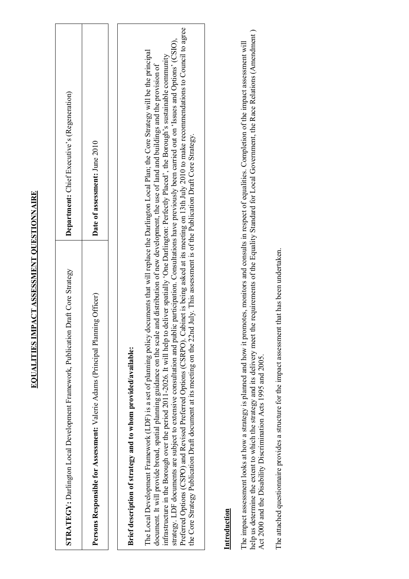| こうしょく ししょく しょうしん しょくてん しょく                                                      |  |
|---------------------------------------------------------------------------------|--|
|                                                                                 |  |
|                                                                                 |  |
|                                                                                 |  |
|                                                                                 |  |
|                                                                                 |  |
|                                                                                 |  |
|                                                                                 |  |
|                                                                                 |  |
|                                                                                 |  |
|                                                                                 |  |
|                                                                                 |  |
|                                                                                 |  |
|                                                                                 |  |
| -<br> <br>                                                                      |  |
|                                                                                 |  |
|                                                                                 |  |
|                                                                                 |  |
| ֧֪֖֧֪֪֪֪֪֪֪֪֪֪֪֪֖֧֧ׅ֖֧֧֧֝֝֝֝֝֝֝֝֝֝֝֝֝֬֝֝֬֝֝<br>֧֧֧֧֧֧֚֝֩֝֝<br>֧֪֧֧֧֧֚֝ <u>֚</u> |  |
| i<br> <br> <br> <br>                                                            |  |
|                                                                                 |  |
|                                                                                 |  |
|                                                                                 |  |
|                                                                                 |  |
|                                                                                 |  |
|                                                                                 |  |
|                                                                                 |  |
|                                                                                 |  |

| STRATEGY: Darlington Local Development Framework, Publication Draft Core Strategy                                                                                                                                                                                                                                                                                                                                                                                                                                                                                                                                                                                        | Department: Chief Executive's (Regeneration)                                                                                                                                         |
|--------------------------------------------------------------------------------------------------------------------------------------------------------------------------------------------------------------------------------------------------------------------------------------------------------------------------------------------------------------------------------------------------------------------------------------------------------------------------------------------------------------------------------------------------------------------------------------------------------------------------------------------------------------------------|--------------------------------------------------------------------------------------------------------------------------------------------------------------------------------------|
| Persons Responsible for Assessment: Valerie Adams (Principal Planning Officer)                                                                                                                                                                                                                                                                                                                                                                                                                                                                                                                                                                                           | Date of assessment: June 2010                                                                                                                                                        |
|                                                                                                                                                                                                                                                                                                                                                                                                                                                                                                                                                                                                                                                                          |                                                                                                                                                                                      |
| Brief description of strategy and to whom provided/available:                                                                                                                                                                                                                                                                                                                                                                                                                                                                                                                                                                                                            |                                                                                                                                                                                      |
| Preferred Options (CSPO) and Revised Preferred Options (CSRPO). Cabinet is being asked at its meeting on 13th July 2010 to make recommendations to Council to agree<br>strategy. LDF documents are subject to extensive consultation and public participation. Consultations have previously been carried out on 'Issues and Options' (CSIO),<br>The Local Development Framework (LDF) is a set of planning policy documents that will replace the Darlington Local Plan; the Core Strategy will be the principal<br>infrastructure in the Borough over the period 2011-2026. It will help to<br>document. It will provide broad, spatial planning guidance on the scale | deliver spatially 'One Darlington: Perfectly Placed', the Borough's sustainable community<br>and distribution of new development, the use of land and buildings and the provision of |
| the Core Strategy Publication Draft document at its meeting on the 22nd July. This assessment is of the Publication Draft Core Strategy.                                                                                                                                                                                                                                                                                                                                                                                                                                                                                                                                 |                                                                                                                                                                                      |
| Introduction                                                                                                                                                                                                                                                                                                                                                                                                                                                                                                                                                                                                                                                             |                                                                                                                                                                                      |
| The impact assessment looks at how a strategy is planned and how it promotes, monitors and consults in respect of equalities. Completion of the impact assessment will                                                                                                                                                                                                                                                                                                                                                                                                                                                                                                   |                                                                                                                                                                                      |

help us determine the extent to which the strategy and its delivery meet the requirements of the Equality Standard for Local Government, the Race Relations (Amendment)<br>Act 2000 and the Disability Discrimination Acts 1995 a help us determine the extent to which the strategy and its delivery meet the requirements of the Equality Standard for Local Government, the Race Relations (Amendment) Act 2000 and the Disability Discrimination Acts 1995 and 2005.

The attached questionnaire provides a structure for the impact assessment that has been undertaken. The attached questionnaire provides a structure for the impact assessment that has been undertaken.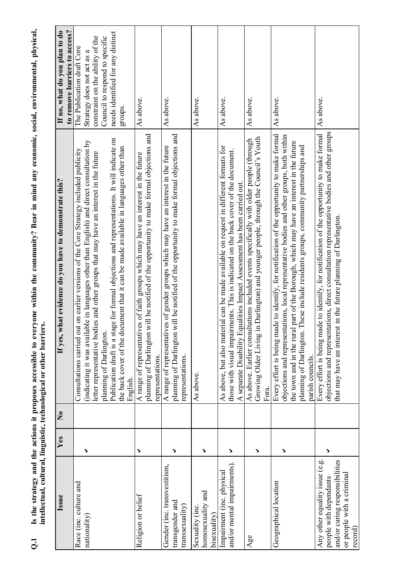| $\vec{c}$                                                                                                                          |                       |                    | Is the strategy and the actions it proposes accessible to everyone within the community? Bear in mind any economic, social, environmental, physical,<br>iers.<br>intellectual, cultural, linguistic, technological or other barri                                                                                                                                                                                                                                                                       |                                                                                                                                                                               |
|------------------------------------------------------------------------------------------------------------------------------------|-----------------------|--------------------|---------------------------------------------------------------------------------------------------------------------------------------------------------------------------------------------------------------------------------------------------------------------------------------------------------------------------------------------------------------------------------------------------------------------------------------------------------------------------------------------------------|-------------------------------------------------------------------------------------------------------------------------------------------------------------------------------|
| Issue                                                                                                                              | Yes                   | $\mathbf{\hat{z}}$ | what evidence do you have to demonstrate this?<br>If yes,                                                                                                                                                                                                                                                                                                                                                                                                                                               | If no, what do you plan to do<br>to remove barriers to access?                                                                                                                |
| Race (inc. culture and<br>nationality)                                                                                             | >                     |                    | Publication draft is a stage for formal objections and representations. It will indicate on<br>(indicating it was available in languages other than English) and direct consultation by<br>the back cover of the document that it can be made available in languages other than<br>Consultations carried out on earlier versions of the Core Strategy included publicity<br>letter representative bodies and other groups that may have an interest in the future<br>planning of Darlington<br>English. | needs identified for any distinct<br>constraint on the ability of the<br>Council to respond to specific<br>The Publication draft Core<br>Strategy does not act as a<br>groups |
| Religion or belief                                                                                                                 | $\blacktriangleright$ |                    | planning of Darlington will be notified of the opportunity to make formal objections and<br>A range of representatives of faith groups which may have an interest in the future<br>representations.                                                                                                                                                                                                                                                                                                     | As above.                                                                                                                                                                     |
| Gender (inc. transvestitism,<br>transgender and<br>transsexuality)                                                                 | >                     |                    | planning of Darlington will be notified of the opportunity to make formal objections and<br>A range of representatives of gender groups which may have an interest in the future<br>representations.                                                                                                                                                                                                                                                                                                    | As above.                                                                                                                                                                     |
| homosexuality and<br>Sexuality (inc.<br>bisexuality                                                                                | >                     |                    | As above.                                                                                                                                                                                                                                                                                                                                                                                                                                                                                               | As above.                                                                                                                                                                     |
| and/or mental impairments).<br>Impairment (inc. physical                                                                           | >                     |                    | As above, but also material can be made available on request in different formats for<br>those with visual impairments. This is indicated on the back cover of the document.<br>Equalities Impact Assessment has been carried out.<br>A separate Disability                                                                                                                                                                                                                                             | As above.                                                                                                                                                                     |
| Age                                                                                                                                | >                     |                    | Growing Older Living in Darlington) and younger people, through the Council's Youth<br>As above. Earlier consultations included events specifically with older people (through<br>Fora.                                                                                                                                                                                                                                                                                                                 | As above.                                                                                                                                                                     |
| Geographical location                                                                                                              | >                     |                    | Every effort is being made to identify, for notification of the opportunity to make formal<br>objections and representations, local representative bodies and other groups, both within<br>the town and in the rural part of the Borough, which may have an interest in the future<br>planning of Darlington. These include residents groups, community partnerships and<br>parish councils.                                                                                                            | As above.                                                                                                                                                                     |
| Any other equality issue (e.g.<br>and/or caring responsibilities<br>or people with a criminal<br>people with dependants<br>record) | >                     |                    | objections and representations, direct consultation representative bodies and other groups<br>Every effort is being made to identify, for notification of the opportunity to make formal<br>that may have an interest in the future planning of Darlington.                                                                                                                                                                                                                                             | As above.                                                                                                                                                                     |

 $\overline{Q}$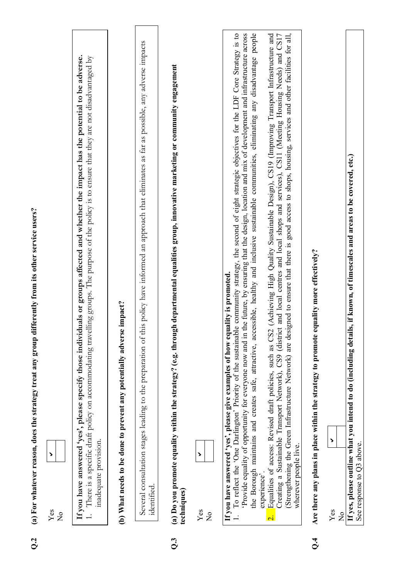|                | $\overline{\phantom{a}}$<br>Yes<br>$\frac{1}{2}$                                                                                                                                                                                                                                                                                                                                                                                                                                                                                                              |
|----------------|---------------------------------------------------------------------------------------------------------------------------------------------------------------------------------------------------------------------------------------------------------------------------------------------------------------------------------------------------------------------------------------------------------------------------------------------------------------------------------------------------------------------------------------------------------------|
|                | If you have answered 'yes', please specify those individuals or groups affected and whether the impact has the potential to be adverse.<br>1. There is a specific draft policy on accommodating travelling groups. The purpose of the policy is to ensure that they are not disadvantaged by<br>inadequate provision.                                                                                                                                                                                                                                         |
|                | (b) What needs to be done to prevent any potentially adverse impact?                                                                                                                                                                                                                                                                                                                                                                                                                                                                                          |
|                | Several consultation stages leading to the preparation of this policy have informed an approach that eliminates as far as possible, any adverse impacts<br>identified.                                                                                                                                                                                                                                                                                                                                                                                        |
| $\overline{Q}$ | (a) Do you promote equality within the strategy? (e.g. through departmental equalities group, innovative marketing or community engagement<br>techniques)                                                                                                                                                                                                                                                                                                                                                                                                     |
|                | Yes<br>$\frac{1}{2}$                                                                                                                                                                                                                                                                                                                                                                                                                                                                                                                                          |
|                | the Borough maintains and creates safe, attractive, accessible, healthy and inclusive sustainable communities, eliminating any disadvantage people<br>To reflect the 'One Darlington' Priority of the sustainable community strategy, the second of eight strategic objectives for the LDF Core Strategy is to<br>Provide equality of opportunity for everyone now and in the future, by ensuring that the design, location and mix of development and infrastructure across<br>If you have answered 'yes', please give examples of how equality is promoted. |
|                | (Strengthening the Green Infrastructure Network) are designed to ensure that there is good access to shops, housing, services and other facilities for all,<br>Equalities of access: Revised draft policies, such as CS2 (Achieving High Quality Sustainable Design), CS19 (Improving Transport Infrastructure and<br>Creating a Sustainable Transport Network), CS9 (district and local centres and local shops and services), CS11 (Meeting Housing Needs) and CS17<br>wherever people live.<br>experience'<br>$\overline{\mathbf{C}}$                      |
| $\vec{c}$      | equality more effectively?<br>Are there any plans in place within the strategy to promote                                                                                                                                                                                                                                                                                                                                                                                                                                                                     |
|                | Yes<br>$\frac{1}{2}$                                                                                                                                                                                                                                                                                                                                                                                                                                                                                                                                          |
|                | If yes, please outline what you intend to do (including details, if known, of timescales and areas to be covered, etc.)<br>See response to Q3 above.                                                                                                                                                                                                                                                                                                                                                                                                          |

Q.2 (a) For whatever reason, does the strategy treat any group differently from its other service users?

 $Q<sub>2</sub>$ 

(a) For whatever reason, does the strategy treat any group differently from its other service users?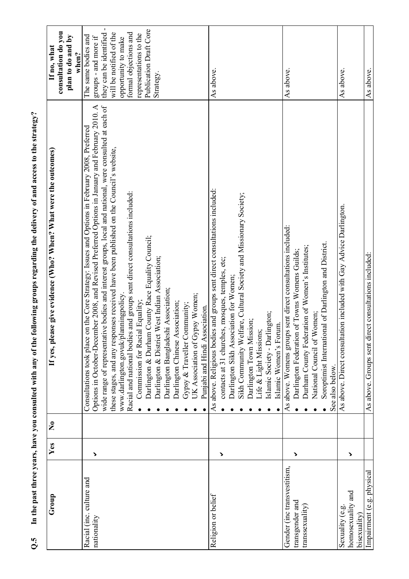| Group                                                             | Yes                   | $\tilde{\mathbf{z}}$ | If yes, please give evidence (Who? When? What were the outcomes)                                                                                                                                                                                                                                                                                                                                                                                                                                                                                                                                                                                                                                                                                                                                                                                     | consultation do you<br>plan to do and by<br>If no, what<br>when?                                                                                                                                                    |
|-------------------------------------------------------------------|-----------------------|----------------------|------------------------------------------------------------------------------------------------------------------------------------------------------------------------------------------------------------------------------------------------------------------------------------------------------------------------------------------------------------------------------------------------------------------------------------------------------------------------------------------------------------------------------------------------------------------------------------------------------------------------------------------------------------------------------------------------------------------------------------------------------------------------------------------------------------------------------------------------------|---------------------------------------------------------------------------------------------------------------------------------------------------------------------------------------------------------------------|
| Racial (inc. culture and<br>nationality                           | >                     |                      | Options in October-December 2008, and Revised Preferred Options in January and February 2010. A<br>wide range of representative bodies and interest groups, local and national, were consulted at each of<br>on the Core Strategy: Issues and Options in February 2008, Preferred<br>these stages, and any responses received have been published on the Council's website,<br>Racial and national bodies and groups sent direct consultations included:<br>Darlington & Durham County Race Equality Council;<br>Darlington & District West Indian Association;<br>Darlington Bangladeshi Association;<br>www.darlington.govuk/planningpolicy.<br>UK Association of Gypsy Women;<br>Commission for Racial Equality;<br>Darlington Chinese Association;<br>Gypsy & Traveller Community;<br>Punjabi and Hindi Association.<br>Consultations took place | they can be identified -<br>Publication Draft Core<br>will be notified of the<br>formal objections and<br>representations to the<br>The same bodies and<br>groups - and more if<br>opportunity to make<br>Strategy. |
| Religion or belief                                                | >                     |                      | As above. Religious bodies and groups sent direct consultations included:<br>Sikh Community Welfare, Cultural Society and Missionary Society;<br>contacts at 31 churches, mosques, temples, etc;<br>Darlington Sikh Association for Women;<br>Islamic Society - Darlington;<br>Darlington Town Mission;<br>Islamic Women's Forum.<br>Life & Light Missions;                                                                                                                                                                                                                                                                                                                                                                                                                                                                                          | As above.                                                                                                                                                                                                           |
| Gender (inc transvestitism,<br>transgender and<br>transsexuality) | >                     |                      | As above. Womens groups sent direct consultations included:<br>Soroptimist International of Darlington and District.<br>Durham County Federation of Women's Institutes;<br>Darlington Federation of Towns Womens Guilds;<br>National Council of Women;<br>See also below.                                                                                                                                                                                                                                                                                                                                                                                                                                                                                                                                                                            | As above.                                                                                                                                                                                                           |
| homosexuality and<br>Sexuality (e.g<br>bisexuality                | $\blacktriangleright$ |                      | As above. Direct consultation included with Gay Advice Darlington.                                                                                                                                                                                                                                                                                                                                                                                                                                                                                                                                                                                                                                                                                                                                                                                   | As above.                                                                                                                                                                                                           |
| Impairment (e.g. physical                                         |                       |                      | As above. Groups sent direct consultations included:                                                                                                                                                                                                                                                                                                                                                                                                                                                                                                                                                                                                                                                                                                                                                                                                 | As above.                                                                                                                                                                                                           |

Q.5 In the past three years, have you consulted with any of the following groups regarding the delivery of and access to the strategy? In the past three years, have you consulted with any of the following groups regarding the delivery of and access to the strategy?  $Q.S$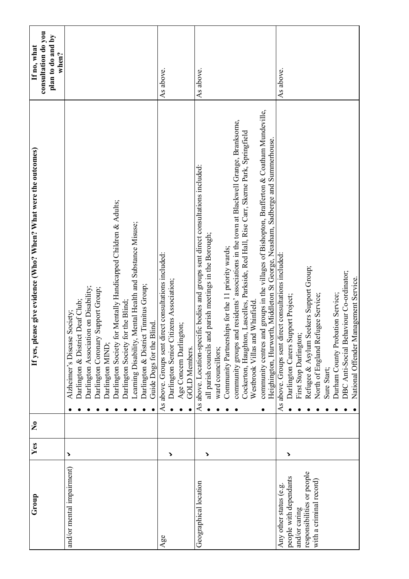| Group                                                                                                                      | Yes | $\tilde{\mathbf{z}}$ | If yes, please give evidence (Who? When? What were the outcomes)                                                                                                                                                                                                                                                                                                                                                                                                                                                                                                                                                                 | consultation do you<br>plan to do and by<br>If no, what<br>when? |
|----------------------------------------------------------------------------------------------------------------------------|-----|----------------------|----------------------------------------------------------------------------------------------------------------------------------------------------------------------------------------------------------------------------------------------------------------------------------------------------------------------------------------------------------------------------------------------------------------------------------------------------------------------------------------------------------------------------------------------------------------------------------------------------------------------------------|------------------------------------------------------------------|
| and/or mental impairment)                                                                                                  | >   |                      | Darlington Society for Mentally Handicapped Children & Adults;<br>Learning Disability, Mental Health and Substance Misuse;<br>Darlington & District Timitus Group;<br>Darlington Association on Disability;<br>Support Group;<br>Darlington & District Deaf Club;<br>Darlington Society for the Blind;<br>Society;<br>Guide Dogs for the Blind.<br>Alzheimer's Disease<br>Darlington Coronary<br>Darlington MIND;                                                                                                                                                                                                                |                                                                  |
| Age                                                                                                                        | >   |                      | As above. Groups sent direct consultations included:<br>Darlington Senior Citizens Association;<br>Age Concern Darlington;<br><b>GOLD Members.</b>                                                                                                                                                                                                                                                                                                                                                                                                                                                                               | As above.                                                        |
| Geographical location                                                                                                      | >   |                      | community centres and groups in the villages of Bishopton, Brafferton & Coatham Mundeville,<br>community groups and residents' associations in the town at Blackwell Grange, Branksome,<br>Cockerton, Haughton, Lascelles, Parkside, Red Hall, Rise Carr, Skerne Park, Springfield<br>Heighington, Hurworth, Middleton St George, Neasham, Sadberge and Summerhouse.<br>As above. Location-specific bodies and groups sent direct consultations included:<br>all parish councils and parish meetings in the Borough;<br>Community Partnerships for the 11 priority wards;<br>Westbrook Villas and Whinfield<br>ward councillors; | As above.                                                        |
| responsibilities or people<br>people with dependants<br>with a criminal record)<br>Any other status (e.g.<br>and/or caring | >   |                      | As above. Groups sent direct consultations included:<br>eekers Support Group;<br>DBC Anti-Social Behaviour Co-ordinator;<br>National Offender Management Service.<br>North of England Refugee Service;<br>Durham County Probation Service;<br>Darlington Carers Support Project;<br>First Stop Darlington;<br>Refugee & Asylum S<br>Sure Start;                                                                                                                                                                                                                                                                                  | As above.                                                        |